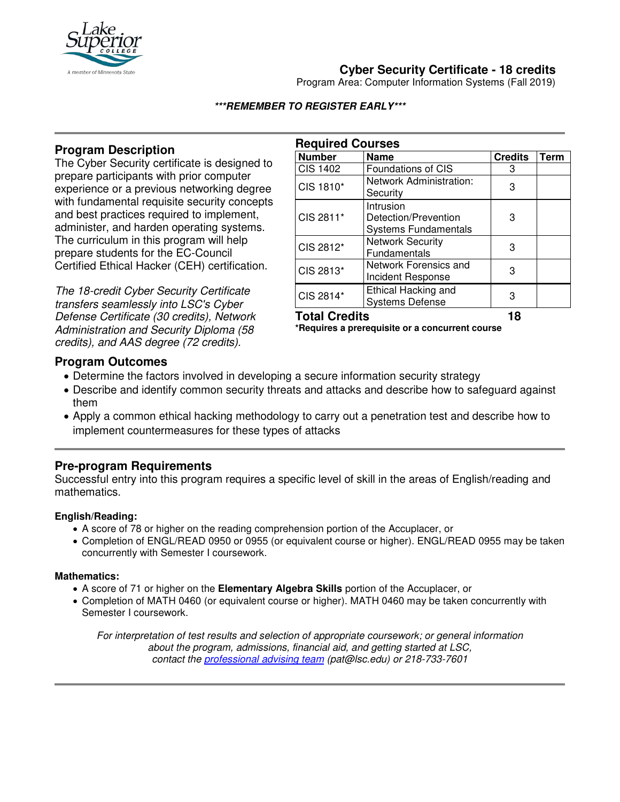

# **Cyber Security Certificate - 18 credits**

Program Area: Computer Information Systems (Fall 2019)

#### **\*\*\*REMEMBER TO REGISTER EARLY\*\*\***

### **Program Description**

The Cyber Security certificate is designed to prepare participants with prior computer experience or a previous networking degree with fundamental requisite security concepts and best practices required to implement, administer, and harden operating systems. The curriculum in this program will help prepare students for the EC-Council Certified Ethical Hacker (CEH) certification.

The 18-credit Cyber Security Certificate transfers seamlessly into LSC's Cyber Defense Certificate (30 credits), Network Administration and Security Diploma (58 credits), and AAS degree (72 credits).

| <b>Required Courses</b> |                                                                  |                |      |
|-------------------------|------------------------------------------------------------------|----------------|------|
| <b>Number</b>           | <b>Name</b>                                                      | <b>Credits</b> | Term |
| <b>CIS 1402</b>         | Foundations of CIS                                               | 3              |      |
| CIS 1810*               | Network Administration:<br>Security                              | 3              |      |
| CIS 2811*               | Intrusion<br>Detection/Prevention<br><b>Systems Fundamentals</b> | 3              |      |
| CIS 2812*               | <b>Network Security</b><br>Fundamentals                          | 3              |      |
| CIS 2813*               | Network Forensics and<br>Incident Response                       | 3              |      |
| CIS 2814*               | Ethical Hacking and<br><b>Systems Defense</b>                    | 3              |      |

**Total Credits 18 \*Requires a prerequisite or a concurrent course**

#### **Program Outcomes**

- Determine the factors involved in developing a secure information security strategy
- Describe and identify common security threats and attacks and describe how to safeguard against them
- Apply a common ethical hacking methodology to carry out a penetration test and describe how to implement countermeasures for these types of attacks

### **Pre-program Requirements**

Successful entry into this program requires a specific level of skill in the areas of English/reading and mathematics.

#### **English/Reading:**

- A score of 78 or higher on the reading comprehension portion of the Accuplacer, or
- Completion of ENGL/READ 0950 or 0955 (or equivalent course or higher). ENGL/READ 0955 may be taken concurrently with Semester I coursework.

#### **Mathematics:**

- A score of 71 or higher on the **Elementary Algebra Skills** portion of the Accuplacer, or
- Completion of MATH 0460 (or equivalent course or higher). MATH 0460 may be taken concurrently with Semester I coursework.

For interpretation of test results and selection of appropriate coursework; or general information about the program, admissions, financial aid, and getting started at LSC, contact the [professional advising team](mailto:pat@lsc.edu) (pat@lsc.edu) or 218-733-7601